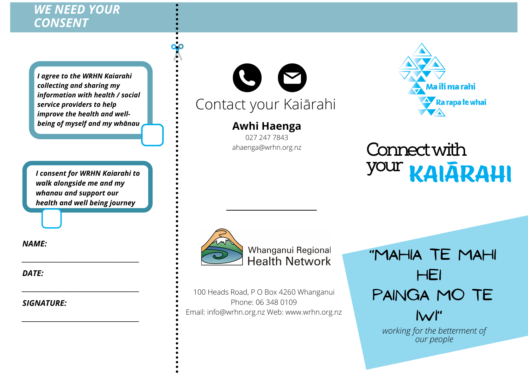## *WE NEED YOUR CONSENT*

*I agree to the WRHN Kaiarahi collecting and sharing my information with health / social service providers to help improve the health and well being of myself and my whānau*

*I consent for WRHN Kaiarahi to walk alongside me and my whanau and support our health and well being journey*

*\_\_\_\_\_\_\_\_\_\_\_\_\_\_\_\_\_\_\_\_\_\_\_\_\_\_\_\_\_\_\_\_\_\_\_\_\_*

*\_\_\_\_\_\_\_\_\_\_\_\_\_\_\_\_\_\_\_\_\_\_\_\_\_\_\_\_\_\_\_\_\_\_\_\_\_*

*\_\_\_\_\_\_\_\_\_\_\_\_\_\_\_\_\_\_\_\_\_\_\_\_\_\_\_\_\_\_\_\_\_\_\_\_\_*

*NAME:*

*DATE:*

*SIGNATURE:*



## **Awhi Haenga**

027 247 7843 ahaenga@wrhn.org.nz



## Connectwith **your KAIARAHI**



100 Heads Road, P O Box 4260 Whanganui Phone: 06 348 0109 Email: info@wrhn.org.nz Web: www.wrhn.org.nz "Mahia te mahi hei painga mo te  $N$ i

> *working for the betterment of our people*